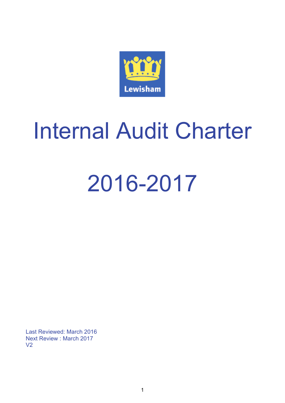

Last Reviewed: March 2016 Next Review : March 2017 V2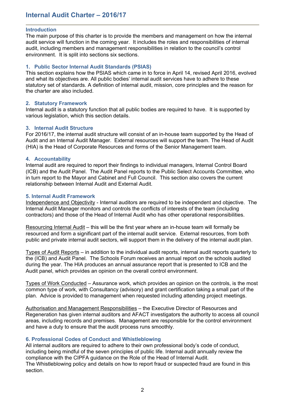#### **Introduction**

The main purpose of this charter is to provide the members and management on how the internal audit service will function in the coming year. It includes the roles and responsibilities of internal audit, including members and management responsibilities in relation to the council's control environment. It is split into sections six sections.

#### **1. Public Sector Internal Audit Standards (PSIAS)**

This section explains how the PSIAS which came in to force in April 14, revised April 2016, evolved and what its objectives are. All public bodies' internal audit services have to adhere to these statutory set of standards. A definition of internal audit, mission, core principles and the reason for the charter are also included.

#### **2. Statutory Framework**

Internal audit is a statutory function that all public bodies are required to have. It is supported by various legislation, which this section details.

#### **3. Internal Audit Structure**

For 2016/17, the internal audit structure will consist of an in-house team supported by the Head of Audit and an Internal Audit Manager. External resources will support the team. The Head of Audit (HIA) is the Head of Corporate Resources and forms of the Senior Management team.

#### **4. Accountability**

Internal audit are required to report their findings to individual managers, Internal Control Board (ICB) and the Audit Panel. The Audit Panel reports to the Public Select Accounts Committee, who in turn report to the Mayor and Cabinet and Full Council. This section also covers the current relationship between Internal Audit and External Audit.

#### **5. Internal Audit Framework**

Independence and Objectivity - Internal auditors are required to be independent and objective. The Internal Audit Manager monitors and controls the conflicts of interests of the team (including contractors) and those of the Head of Internal Audit who has other operational responsibilities.

Resourcing Internal Audit – this will be the first year where an in-house team will formally be resourced and form a significant part of the internal audit service. External resources, from both public and private internal audit sectors, will support them in the delivery of the internal audit plan.

Types of Audit Reports – in addition to the individual audit reports, internal audit reports quarterly to the (ICB) and Audit Panel. The Schools Forum receives an annual report on the schools audited during the year. The HIA produces an annual assurance report that is presented to ICB and the Audit panel, which provides an opinion on the overall control environment.

Types of Work Conducted – Assurance work, which provides an opinion on the controls, is the most common type of work, with Consultancy (advisory) and grant certification taking a small part of the plan. Advice is provided to management when requested including attending project meetings.

Authorisation and Management Responsibilities – the Executive Director of Resources and Regeneration has given internal auditors and AFACT investigators the authority to access all council areas, including records and premises. Management are responsible for the control environment and have a duty to ensure that the audit process runs smoothly.

#### **6. Professional Codes of Conduct and Whistleblowing**

All internal auditors are required to adhere to their own professional body's code of conduct, including being mindful of the seven principles of public life. Internal audit annually review the compliance with the CIPFA guidance on the Role of the Head of Internal Audit.

The Whistleblowing policy and details on how to report fraud or suspected fraud are found in this section.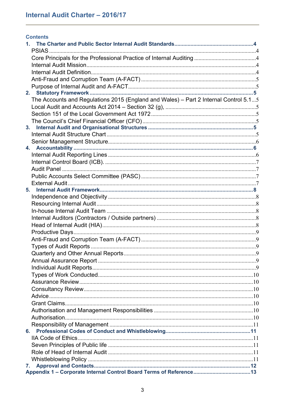| <b>Contents</b>                                                                      |  |
|--------------------------------------------------------------------------------------|--|
|                                                                                      |  |
|                                                                                      |  |
|                                                                                      |  |
|                                                                                      |  |
|                                                                                      |  |
|                                                                                      |  |
|                                                                                      |  |
| The Accounts and Regulations 2015 (England and Wales) - Part 2 Internal Control 5.15 |  |
|                                                                                      |  |
|                                                                                      |  |
|                                                                                      |  |
|                                                                                      |  |
|                                                                                      |  |
|                                                                                      |  |
|                                                                                      |  |
|                                                                                      |  |
|                                                                                      |  |
|                                                                                      |  |
|                                                                                      |  |
|                                                                                      |  |
|                                                                                      |  |
|                                                                                      |  |
|                                                                                      |  |
|                                                                                      |  |
|                                                                                      |  |
|                                                                                      |  |
|                                                                                      |  |
|                                                                                      |  |
|                                                                                      |  |
|                                                                                      |  |
|                                                                                      |  |
|                                                                                      |  |
|                                                                                      |  |
|                                                                                      |  |
|                                                                                      |  |
|                                                                                      |  |
|                                                                                      |  |
|                                                                                      |  |
|                                                                                      |  |
|                                                                                      |  |
|                                                                                      |  |
|                                                                                      |  |
|                                                                                      |  |
|                                                                                      |  |
| 7.                                                                                   |  |
|                                                                                      |  |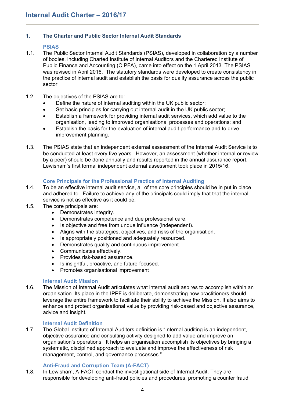# <span id="page-3-0"></span>**1. The Charter and Public Sector Internal Audit Standards**

#### <span id="page-3-1"></span>**PSIAS**

- 1.1. The Public Sector Internal Audit Standards (PSIAS), developed in collaboration by a number of bodies, including Charted Institute of Internal Auditors and the Chartered Institute of Public Finance and Accounting (CIPFA), came into effect on the 1 April 2013. The PSIAS was revised in April 2016. The statutory standards were developed to create consistency in the practice of internal audit and establish the basis for quality assurance across the public sector.
- 1.2. The objectives of the PSIAS are to:
	- Define the nature of internal auditing within the UK public sector;
	- Set basic principles for carrying out internal audit in the UK public sector;
	- Establish a framework for providing internal audit services, which add value to the organisation, leading to improved organisational processes and operations; and
	- Establish the basis for the evaluation of internal audit performance and to drive improvement planning.
- 1.3. The PSIAS state that an independent external assessment of the Internal Audit Service is to be conducted at least every five years. However, an assessment (whether internal or review by a peer) should be done annually and results reported in the annual assurance report. Lewisham's first formal independent external assessment took place in 2015/16.

## <span id="page-3-2"></span>**Core Principals for the Professional Practice of Internal Auditing**

- 1.4. To be an effective internal audit service, all of the core principles should be in put in place and adhered to. Failure to achieve any of the principals could imply that that the internal service is not as effective as it could be.
- 1.5. The core principals are:
	- Demonstrates integrity.
	- Demonstrates competence and due professional care.
	- Is objective and free from undue influence (independent).
	- Aligns with the strategies, objectives, and risks of the organisation.
	- Is appropriately positioned and adequately resourced.
	- Demonstrates quality and continuous improvement.
	- Communicates effectively.
	- Provides risk-based assurance.
	- Is insightful, proactive, and future-focused.
	- Promotes organisational improvement

#### <span id="page-3-3"></span>**Internal Audit Mission**

1.6. The Mission of Internal Audit articulates what internal audit aspires to accomplish within an organisation. Its place in the IPPF is deliberate, demonstrating how practitioners should leverage the entire framework to facilitate their ability to achieve the Mission. It also aims to enhance and protect organisational value by providing risk-based and objective assurance, advice and insight.

#### <span id="page-3-4"></span>**Internal Audit Definition**

1.7. The Global Institute of Internal Auditors definition is "Internal auditing is an independent, objective assurance and consulting activity designed to add value and improve an organisation's operations. It helps an organisation accomplish its objectives by bringing a systematic, disciplined approach to evaluate and improve the effectiveness of risk management, control, and governance processes."

#### <span id="page-3-5"></span>**Anti-Fraud and Corruption Team (A-FACT)**

1.8. In Lewisham, A-FACT conduct the investigational side of Internal Audit. They are responsible for developing anti-fraud policies and procedures, promoting a counter fraud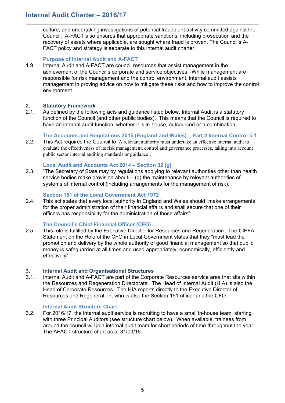culture, and undertaking investigations of potential fraudulent activity committed against the Council. A-FACT also ensures that appropriate sanctions, including prosecution and the recovery of assets where applicable, are sought where fraud is proven. The Council's A-FACT policy and strategy is separate to this internal audit charter.

#### <span id="page-4-0"></span>**Purpose of Internal Audit and A-FACT**

1.9. Internal Audit and A-FACT are council resources that assist management in the achievement of the Council's corporate and service objectives. While management are responsible for risk management and the control environment, internal audit assists management in proving advice on how to mitigate these risks and how to improve the control environment.

#### <span id="page-4-1"></span>**2. Statutory Framework**

2.1. As defined by the following acts and guidance listed below, Internal Audit is a statutory function of the Council (and other public bodies). This means that the Council is required to have an internal audit function, whether it is in-house, outsourced or a combination.

#### <span id="page-4-2"></span>**The Accounts and Regulations 2015 (England and Wales) – Part 2 Internal Control 5.1**

2.2. This Act requires the Council to 'A relevant authority must undertake an effective internal audit to evaluate the effectiveness of its risk management, control and governance processes, taking into account public sector internal auditing standards or guidance'.

#### <span id="page-4-3"></span>**Local Audit and Accounts Act 2014 – Section 32 (g),**

2.3. "The Secretary of State may by regulations applying to relevant authorities other than health service bodies make provision about— (g) the maintenance by relevant authorities of systems of internal control (including arrangements for the management of risk).

#### <span id="page-4-4"></span>**Section 151 of the Local Government Act 1972**

2.4. This act states that every local authority in England and Wales should "make arrangements for the proper administration of their financial affairs and shall secure that one of their officers has responsibility for the administration of those affairs".

#### <span id="page-4-5"></span>**The Council's Chief Financial Officer (CFO)**

2.5. This role is fulfilled by the Executive Director for Resources and Regeneration. The CIPFA Statement on the Role of the CFO in Local Government states that they "must lead the promotion and delivery by the whole authority of good financial management so that public money is safeguarded at all times and used appropriately, economically, efficiently and effectively".

#### <span id="page-4-6"></span>**3. Internal Audit and Organisational Structures**

3.1. Internal Audit and A-FACT are part of the Corporate Resources service area that sits within the Resources and Regeneration Directorate. The Head of Internal Audit (HIA) is also the Head of Corporate Resources. The HIA reports directly to the Executive Director of Resources and Regeneration, who is also the Section 151 officer and the CFO.

#### <span id="page-4-7"></span>**Internal Audit Structure Chart**

3.2. For 2016/17, the internal audit service is recruiting to have a small in-house team, starting with three Principal Auditors (see structure chart below). When available, trainees from around the council will join internal audit team for short periods of time throughout the year. The AFACT structure chart as at 31/03/16.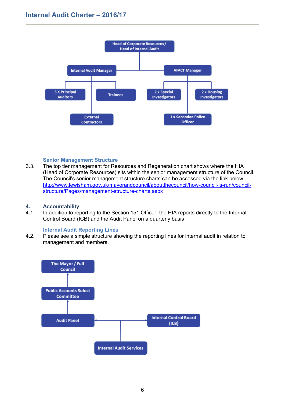

#### <span id="page-5-0"></span>**Senior Management Structure**

3.3. The top tier management for Resources and Regeneration chart shows where the HIA (Head of Corporate Resources) sits within the senior management structure of the Council. The Council's senior management structure charts can be accessed via the link below. [http://www.lewisham.gov.uk/mayorandcouncil/aboutthecouncil/how-council-is-run/council](http://www.lewisham.gov.uk/mayorandcouncil/aboutthecouncil/how-council-is-run/council-structure/Pages/management-structure-charts.aspx)[structure/Pages/management-structure-charts.aspx](http://www.lewisham.gov.uk/mayorandcouncil/aboutthecouncil/how-council-is-run/council-structure/Pages/management-structure-charts.aspx)

#### <span id="page-5-1"></span>**4. Accountability**

4.1. In addition to reporting to the Section 151 Officer, the HIA reports directly to the Internal Control Board (ICB) and the Audit Panel on a quarterly basis

#### <span id="page-5-2"></span>**Internal Audit Reporting Lines**

4.2. Please see a simple structure showing the reporting lines for internal audit in relation to management and members.

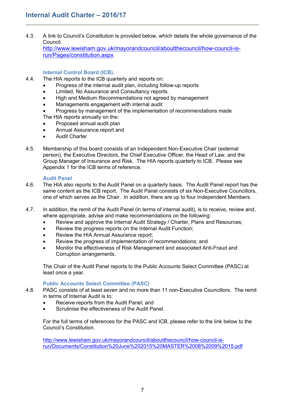4.3. A link to Council's Constitution is provided below, which details the whole governance of the Council.

[http://www.lewisham.gov.uk/mayorandcouncil/aboutthecouncil/how-council-is](http://www.lewisham.gov.uk/mayorandcouncil/aboutthecouncil/how-council-is-run/Pages/constitution.aspx)[run/Pages/constitution.aspx](http://www.lewisham.gov.uk/mayorandcouncil/aboutthecouncil/how-council-is-run/Pages/constitution.aspx)

# <span id="page-6-0"></span>**Internal Control Board (ICB).**

- 4.4. The HIA reports to the ICB quarterly and reports on:
	- Progress of the internal audit plan, including follow-up reports
	- **•** Limited, No Assurance and Consultancy reports.
	- High and Medium Recommendations not agreed by management
	- Managements engagement with internal audit
	- Progress by management of the implementation of recommendations made The HIA reports annually on the:
	- Proposed annual audit plan
	- Annual Assurance report and
	- Audit Charter
- 4.5. Membership of this board consists of an Independent Non-Executive Chair (external person), the Executive Directors, the Chief Executive Officer, the Head of Law, and the Group Manager of Insurance and Risk. The HIA reports quarterly to ICB. Please see Appendix 1 for the ICB terms of reference.

#### <span id="page-6-1"></span>**Audit Panel**

- 4.6. The HIA also reports to the Audit Panel on a quarterly basis. The Audit Panel report has the same content as the ICB report. The Audit Panel consists of six Non-Executive Councillors, one of which serves as the Chair. In addition, there are up to four Independent Members.
- 4.7. In addition, the remit of the Audit Panel (in terms of internal audit), is to receive, review and, where appropriate, advise and make recommendations on the following:
	- Review and approve the Internal Audit Strategy / Charter, Plans and Resources;
	- Review the progress reports on the Internal Audit Function;
	- Review the HIA Annual Assurance report;
	- Review the progress of implementation of recommendations; and
	- Monitor the effectiveness of Risk Management and associated Anti-Fraud and Corruption arrangements.

The Chair of the Audit Panel reports to the Public Accounts Select Committee (PASC) at least once a year.

#### <span id="page-6-2"></span>**Public Accounts Select Committee (PASC)**

- 4.8. PASC consists of at least seven and no more than 11 non-Executive Councillors. The remit in terms of Internal Audit is to:
	- Receive reports from the Audit Panel: and
	- Scrutinise the effectiveness of the Audit Panel

For the full terms of references for the PASC and ICB, please refer to the link below to the Council's Constitution.

[http://www.lewisham.gov.uk/mayorandcouncil/aboutthecouncil/how-council-is](http://www.lewisham.gov.uk/mayorandcouncil/aboutthecouncil/how-council-is-run/Documents/Constitution%20June%202015%20MASTER%2008%2009%2015.pdf)[run/Documents/Constitution%20June%202015%20MASTER%2008%2009%2015.pdf](http://www.lewisham.gov.uk/mayorandcouncil/aboutthecouncil/how-council-is-run/Documents/Constitution%20June%202015%20MASTER%2008%2009%2015.pdf)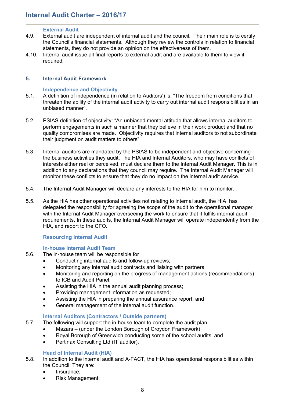#### <span id="page-7-0"></span>**External Audit**

- 4.9. External audit are independent of internal audit and the council. Their main role is to certify the Council's financial statements. Although they review the controls in relation to financial statements, they do not provide an opinion on the effectiveness of them.
- 4.10. Internal audit issue all final reports to external audit and are available to them to view if required.

#### <span id="page-7-1"></span>**5. Internal Audit Framework**

#### <span id="page-7-2"></span>**Independence and Objectivity**

- 5.1. A definition of independence (in relation to Auditors') is, "The freedom from conditions that threaten the ability of the internal audit activity to carry out internal audit responsibilities in an unbiased manner".
- 5.2. PSIAS definition of objectivity: "An unbiased mental attitude that allows internal auditors to perform engagements in such a manner that they believe in their work product and that no quality compromises are made. Objectivity requires that internal auditors to not subordinate their judgment on audit matters to others".
- 5.3. Internal auditors are mandated by the PSIAS to be independent and objective concerning the business activities they audit. The HIA and Internal Auditors, who may have conflicts of interests either real or perceived, must declare them to the Internal Audit Manager. This is in addition to any declarations that they council may require. The Internal Audit Manager will monitor these conflicts to ensure that they do no impact on the internal audit service.
- 5.4. The Internal Audit Manager will declare any interests to the HIA for him to monitor.
- 5.5. As the HIA has other operational activities not relating to internal audit, the HIA has delegated the responsibility for agreeing the scope of the audit to the operational manager with the Internal Audit Manager overseeing the work to ensure that it fulfils internal audit requirements. In these audits, the Internal Audit Manager will operate independently from the HIA, and report to the CFO.

#### <span id="page-7-3"></span>**Resourcing Internal Audit**

#### <span id="page-7-4"></span>**In-house Internal Audit Team**

- 5.6. The in-house team will be responsible for
	- Conducting internal audits and follow-up reviews;
	- Monitoring any internal audit contracts and liaising with partners;
	- Monitoring and reporting on the progress of management actions (recommendations) to ICB and Audit Panel;
	- Assisting the HIA in the annual audit planning process;
	- Providing management information as requested:
	- Assisting the HIA in preparing the annual assurance report; and
	- General management of the internal audit function.

#### <span id="page-7-5"></span>**Internal Auditors (Contractors / Outside partners)**

- 5.7. The following will support the in-house team to complete the audit plan.
	- Mazars (under the London Borough of Croydon Framework)
	- Royal Borough of Greenwich conducting some of the school audits, and
	- Pertinax Consulting Ltd (IT auditor).

## <span id="page-7-6"></span>**Head of Internal Audit (HIA)**

- 5.8. In addition to the internal audit and A-FACT, the HIA has operational responsibilities within the Council. They are:
	- Insurance:
	- Risk Management;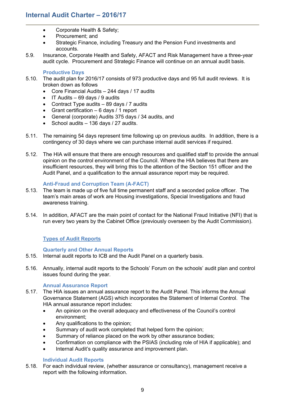- Corporate Health & Safety:
- Procurement; and
- Strategic Finance, including Treasury and the Pension Fund investments and accounts.
- 5.9. Insurance, Corporate Health and Safety, AFACT and Risk Management have a three-year audit cycle. Procurement and Strategic Finance will continue on an annual audit basis.

#### <span id="page-8-0"></span>**Productive Days**

- 5.10. The audit plan for 2016/17 consists of 973 productive days and 95 full audit reviews. It is broken down as follows
	- Core Financial Audits 244 days / 17 audits
	- $\bullet$  IT Audits 69 days / 9 audits
	- Contract Type audits 89 days / 7 audits
	- Grant certification  $-6$  days / 1 report
	- General (corporate) Audits 375 days / 34 audits, and
	- School audits  $-136$  days / 27 audits.
- 5.11. The remaining 54 days represent time following up on previous audits. In addition, there is a contingency of 30 days where we can purchase internal audit services if required.
- 5.12. The HIA will ensure that there are enough resources and qualified staff to provide the annual opinion on the control environment of the Council. Where the HIA believes that there are insufficient resources, they will bring this to the attention of the Section 151 officer and the Audit Panel, and a qualification to the annual assurance report may be required.

#### <span id="page-8-1"></span>**Anti-Fraud and Corruption Team (A-FACT)**

- 5.13. The team is made up of five full time permanent staff and a seconded police officer. The team's main areas of work are Housing investigations, Special Investigations and fraud awareness training.
- 5.14. In addition, AFACT are the main point of contact for the National Fraud Initiative (NFI) that is run every two years by the Cabinet Office (previously overseen by the Audit Commission).

#### <span id="page-8-2"></span>**Types of Audit Reports**

#### <span id="page-8-3"></span>**Quarterly and Other Annual Reports**

- 5.15. Internal audit reports to ICB and the Audit Panel on a quarterly basis.
- 5.16. Annually, internal audit reports to the Schools' Forum on the schools' audit plan and control issues found during the year.

#### <span id="page-8-4"></span>**Annual Assurance Report**

- 5.17. The HIA issues an annual assurance report to the Audit Panel. This informs the Annual Governance Statement (AGS) which incorporates the Statement of Internal Control. The HIA annual assurance report includes:
	- An opinion on the overall adequacy and effectiveness of the Council's control environment;
	- Any qualifications to the opinion;
	- Summary of audit work completed that helped form the opinion;
	- Summary of reliance placed on the work by other assurance bodies;
	- Confirmation on compliance with the PSIAS (including role of HIA if applicable); and
	- Internal Audit's quality assurance and improvement plan.

#### <span id="page-8-5"></span>**Individual Audit Reports**

5.18. For each individual review, (whether assurance or consultancy), management receive a report with the following information.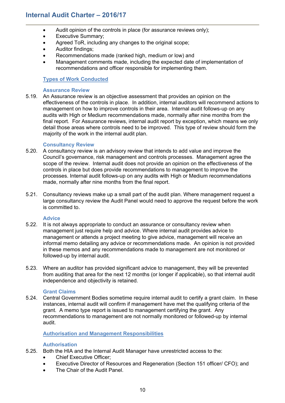- Audit opinion of the controls in place (for assurance reviews only);
- Executive Summary;
- Agreed ToR, including any changes to the original scope;
- Auditor findings;
- Recommendations made (ranked high, medium or low) and
- Management comments made, including the expected date of implementation of recommendations and officer responsible for implementing them.

#### <span id="page-9-0"></span>**Types of Work Conducted**

#### <span id="page-9-1"></span>**Assurance Review**

5.19. An Assurance review is an objective assessment that provides an opinion on the effectiveness of the controls in place. In addition, internal auditors will recommend actions to management on how to improve controls in their area. Internal audit follows-up on any audits with High or Medium recommendations made, normally after nine months from the final report. For Assurance reviews, internal audit report by exception, which means we only detail those areas where controls need to be improved. This type of review should form the majority of the work in the internal audit plan.

#### <span id="page-9-2"></span>**Consultancy Review**

- 5.20. A consultancy review is an advisory review that intends to add value and improve the Council's governance, risk management and controls processes. Management agree the scope of the review. Internal audit does not provide an opinion on the effectiveness of the controls in place but does provide recommendations to management to improve the processes. Internal audit follows-up on any audits with High or Medium recommendations made, normally after nine months from the final report.
- 5.21. Consultancy reviews make up a small part of the audit plan. Where management request a large consultancy review the Audit Panel would need to approve the request before the work is committed to.

#### <span id="page-9-3"></span>**Advice**

- 5.22. It is not always appropriate to conduct an assurance or consultancy review when management just require help and advice. Where internal audit provides advice to management or attends a project meeting to give advice, management will receive an informal memo detailing any advice or recommendations made. An opinion is not provided in these memos and any recommendations made to management are not monitored or followed-up by internal audit.
- 5.23. Where an auditor has provided significant advice to management, they will be prevented from auditing that area for the next 12 months (or longer if applicable), so that internal audit independence and objectivity is retained.

#### <span id="page-9-4"></span>**Grant Claims**

5.24. Central Government Bodies sometime require internal audit to certify a grant claim. In these instances, internal audit will confirm if management have met the qualifying criteria of the grant. A memo type report is issued to management certifying the grant. Any recommendations to management are not normally monitored or followed-up by internal audit.

#### <span id="page-9-5"></span>**Authorisation and Management Responsibilities**

#### <span id="page-9-6"></span>**Authorisation**

- 5.25. Both the HIA and the Internal Audit Manager have unrestricted access to the:
	- Chief Executive Officer;
		- Executive Director of Resources and Regeneration (Section 151 officer/ CFO); and
		- The Chair of the Audit Panel.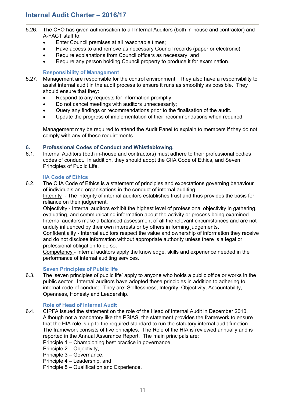- 5.26. The CFO has given authorisation to all Internal Auditors (both in-house and contractor) and A-FACT staff to:
	- Enter Council premises at all reasonable times;
	- Have access to and remove as necessary Council records (paper or electronic);
	- Require explanations from Council officers as necessary; and
	- Require any person holding Council property to produce it for examination.

#### <span id="page-10-0"></span>**Responsibility of Management**

- 5.27. Management are responsible for the control environment. They also have a responsibility to assist internal audit in the audit process to ensure it runs as smoothly as possible. They should ensure that they:
	- Respond to any requests for information promptly;
	- Do not cancel meetings with auditors unnecessarily;
	- Query any findings or recommendations prior to the finalisation of the audit.
	- Update the progress of implementation of their recommendations when required.

Management may be required to attend the Audit Panel to explain to members if they do not comply with any of these requirements.

#### <span id="page-10-1"></span>**6. Professional Codes of Conduct and Whistleblowing.**

6.1. Internal Auditors (both in-house and contractors) must adhere to their professional bodies codes of conduct. In addition, they should adopt the CIIA Code of Ethics, and Seven Principles of Public Life.

#### <span id="page-10-2"></span>**IIA Code of Ethics**

6.2. The CIIA Code of Ethics is a statement of principles and expectations governing behaviour of individuals and organisations in the conduct of internal auditing.

Integrity - The integrity of internal auditors establishes trust and thus provides the basis for reliance on their judgement.

Objectivity - Internal auditors exhibit the highest level of professional objectivity in gathering, evaluating, and communicating information about the activity or process being examined. Internal auditors make a balanced assessment of all the relevant circumstances and are not unduly influenced by their own interests or by others in forming judgements.

Confidentiality - Internal auditors respect the value and ownership of information they receive and do not disclose information without appropriate authority unless there is a legal or professional obligation to do so.

Competency - Internal auditors apply the knowledge, skills and experience needed in the performance of internal auditing services.

#### <span id="page-10-3"></span>**Seven Principles of Public life**

6.3. The 'seven principles of public life' apply to anyone who holds a public office or works in the public sector. Internal auditors have adopted these principles in addition to adhering to internal code of conduct. They are: Selflessness, Integrity, Objectivity, Accountability, Openness, Honesty and Leadership.

#### <span id="page-10-4"></span>**Role of Head of Internal Audit**

- 6.4. CIPFA issued the statement on the role of the Head of Internal Audit in December 2010. Although not a mandatory like the PSIAS, the statement provides the framework to ensure that the HIA role is up to the required standard to run the statutory internal audit function. The framework consists of five principles. The Role of the HIA is reviewed annually and is reported in the Annual Assurance Report. The main principals are:
	- Principle 1 Championing best practice in governance,
	- Principle 2 Objectivity,
	- Principle 3 Governance,
	- Principle 4 Leadership, and
	- Principle 5 Qualification and Experience.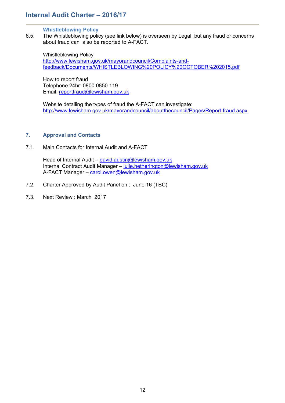#### <span id="page-11-0"></span>**Whistleblowing Policy**

6.5. The Whistleblowing policy (see link below) is overseen by Legal, but any fraud or concerns about fraud can also be reported to A-FACT.

Whistleblowing Policy

[http://www.lewisham.gov.uk/mayorandcouncil/Complaints-and](http://www.lewisham.gov.uk/mayorandcouncil/Complaints-and-feedback/Documents/WHISTLEBLOWING%20POLICY%20OCTOBER%202015.pdf)[feedback/Documents/WHISTLEBLOWING%20POLICY%20OCTOBER%202015.pdf](http://www.lewisham.gov.uk/mayorandcouncil/Complaints-and-feedback/Documents/WHISTLEBLOWING%20POLICY%20OCTOBER%202015.pdf)

How to report fraud Telephone 24hr: 0800 0850 119 Email: [reportfraud@lewisham.gov.uk](mailto:reportfraud@lewisham.gov.uk)

Website detailing the types of fraud the A-FACT can investigate: <http://www.lewisham.gov.uk/mayorandcouncil/aboutthecouncil/Pages/Report-fraud.aspx>

#### <span id="page-11-1"></span>**7. Approval and Contacts**

7.1. Main Contacts for Internal Audit and A-FACT

Head of Internal Audit – [david.austin@lewisham.gov.uk](mailto:david.austin@lewisham.gov.uk) Internal Contract Audit Manager – [julie.hetherington@lewisham.gov.uk](mailto:julie.hetherington@lewisham.gov.uk) A-FACT Manager – [carol.owen@lewisham.gov.uk](mailto:carol.owen@lewisham.gov.uk)

- 7.2. Charter Approved by Audit Panel on : June 16 (TBC)
- 7.3. Next Review : March 2017